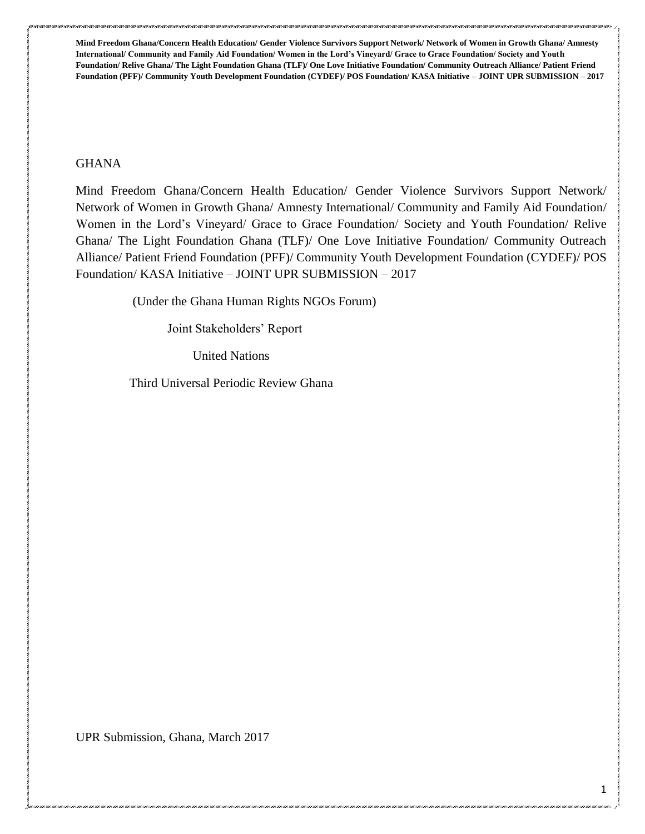### **GHANA**

Mind Freedom Ghana/Concern Health Education/ Gender Violence Survivors Support Network/ Network of Women in Growth Ghana/ Amnesty International/ Community and Family Aid Foundation/ Women in the Lord's Vineyard/ Grace to Grace Foundation/ Society and Youth Foundation/ Relive Ghana/ The Light Foundation Ghana (TLF)/ One Love Initiative Foundation/ Community Outreach Alliance/ Patient Friend Foundation (PFF)/ Community Youth Development Foundation (CYDEF)/ POS Foundation/ KASA Initiative – JOINT UPR SUBMISSION – 2017

(Under the Ghana Human Rights NGOs Forum)

Joint Stakeholders' Report

United Nations

Third Universal Periodic Review Ghana

UPR Submission, Ghana, March 2017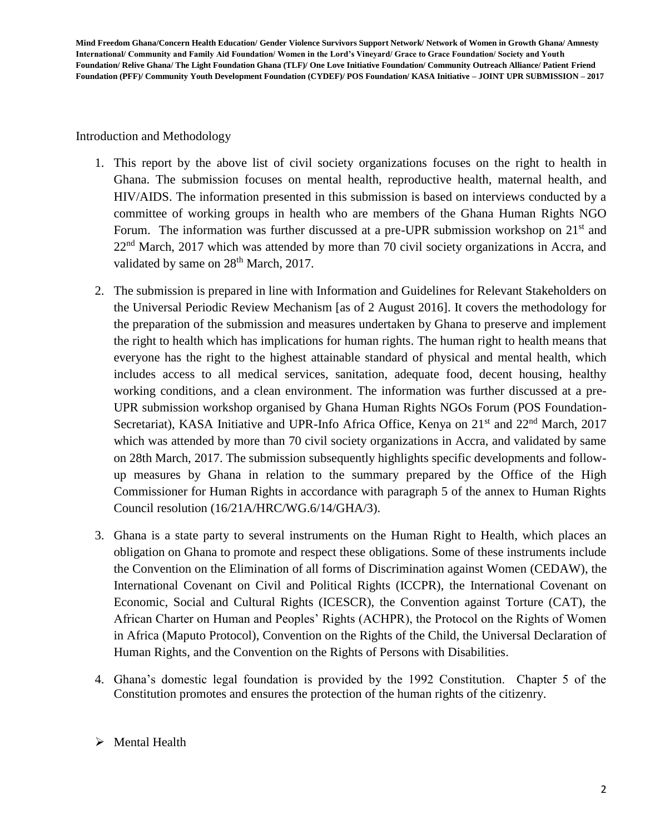Introduction and Methodology

- 1. This report by the above list of civil society organizations focuses on the right to health in Ghana. The submission focuses on mental health, reproductive health, maternal health, and HIV/AIDS. The information presented in this submission is based on interviews conducted by a committee of working groups in health who are members of the Ghana Human Rights NGO Forum. The information was further discussed at a pre-UPR submission workshop on  $21<sup>st</sup>$  and 22<sup>nd</sup> March, 2017 which was attended by more than 70 civil society organizations in Accra, and validated by same on 28<sup>th</sup> March, 2017.
- 2. The submission is prepared in line with Information and Guidelines for Relevant Stakeholders on the Universal Periodic Review Mechanism [as of 2 August 2016]. It covers the methodology for the preparation of the submission and measures undertaken by Ghana to preserve and implement the right to health which has implications for human rights. The human right to health means that everyone has the right to the highest attainable standard of physical and mental health, which includes access to all medical services, sanitation, adequate food, decent housing, healthy working conditions, and a clean environment. The information was further discussed at a pre-UPR submission workshop organised by Ghana Human Rights NGOs Forum (POS Foundation-Secretariat), KASA Initiative and UPR-Info Africa Office, Kenya on 21<sup>st</sup> and 22<sup>nd</sup> March, 2017 which was attended by more than 70 civil society organizations in Accra, and validated by same on 28th March, 2017. The submission subsequently highlights specific developments and followup measures by Ghana in relation to the summary prepared by the Office of the High Commissioner for Human Rights in accordance with paragraph 5 of the annex to Human Rights Council resolution (16/21A/HRC/WG.6/14/GHA/3).
- 3. Ghana is a state party to several instruments on the Human Right to Health, which places an obligation on Ghana to promote and respect these obligations. Some of these instruments include the Convention on the Elimination of all forms of Discrimination against Women (CEDAW), the International Covenant on Civil and Political Rights (ICCPR), the International Covenant on Economic, Social and Cultural Rights (ICESCR), the Convention against Torture (CAT), the African Charter on Human and Peoples' Rights (ACHPR), the Protocol on the Rights of Women in Africa (Maputo Protocol), Convention on the Rights of the Child, the Universal Declaration of Human Rights, and the Convention on the Rights of Persons with Disabilities.
- 4. Ghana's domestic legal foundation is provided by the 1992 Constitution. Chapter 5 of the Constitution promotes and ensures the protection of the human rights of the citizenry.

# $\triangleright$  Mental Health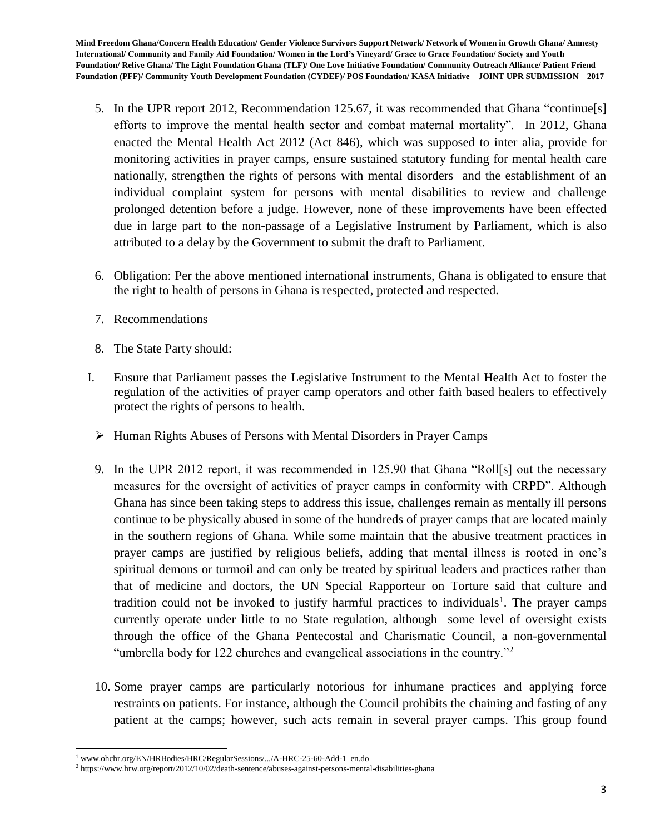- 5. In the UPR report 2012, Recommendation 125.67, it was recommended that Ghana "continue[s] efforts to improve the mental health sector and combat maternal mortality". In 2012, Ghana enacted the Mental Health Act 2012 (Act 846), which was supposed to inter alia, provide for monitoring activities in prayer camps, ensure sustained statutory funding for mental health care nationally, strengthen the rights of persons with mental disorders and the establishment of an individual complaint system for persons with mental disabilities to review and challenge prolonged detention before a judge. However, none of these improvements have been effected due in large part to the non-passage of a Legislative Instrument by Parliament, which is also attributed to a delay by the Government to submit the draft to Parliament.
- 6. Obligation: Per the above mentioned international instruments, Ghana is obligated to ensure that the right to health of persons in Ghana is respected, protected and respected.
- 7. Recommendations
- 8. The State Party should:
- I. Ensure that Parliament passes the Legislative Instrument to the Mental Health Act to foster the regulation of the activities of prayer camp operators and other faith based healers to effectively protect the rights of persons to health.
	- $\triangleright$  Human Rights Abuses of Persons with Mental Disorders in Prayer Camps
	- 9. In the UPR 2012 report, it was recommended in 125.90 that Ghana "Roll[s] out the necessary measures for the oversight of activities of prayer camps in conformity with CRPD". Although Ghana has since been taking steps to address this issue, challenges remain as mentally ill persons continue to be physically abused in some of the hundreds of prayer camps that are located mainly in the southern regions of Ghana. While some maintain that the abusive treatment practices in prayer camps are justified by religious beliefs, adding that mental illness is rooted in one's spiritual demons or turmoil and can only be treated by spiritual leaders and practices rather than that of medicine and doctors, the UN Special Rapporteur on Torture said that culture and tradition could not be invoked to justify harmful practices to individuals<sup>1</sup>. The prayer camps currently operate under little to no State regulation, although some level of oversight exists through the office of the Ghana Pentecostal and Charismatic Council, a non-governmental "umbrella body for 122 churches and evangelical associations in the country."<sup>2</sup>
	- 10. Some prayer camps are particularly notorious for inhumane practices and applying force restraints on patients. For instance, although the Council prohibits the chaining and fasting of any patient at the camps; however, such acts remain in several prayer camps. This group found

 $\overline{a}$ <sup>1</sup> www.ohchr.org/EN/HRBodies/HRC/RegularSessions/.../A-HRC-25-60-Add-1\_en.do

<sup>2</sup> https://www.hrw.org/report/2012/10/02/death-sentence/abuses-against-persons-mental-disabilities-ghana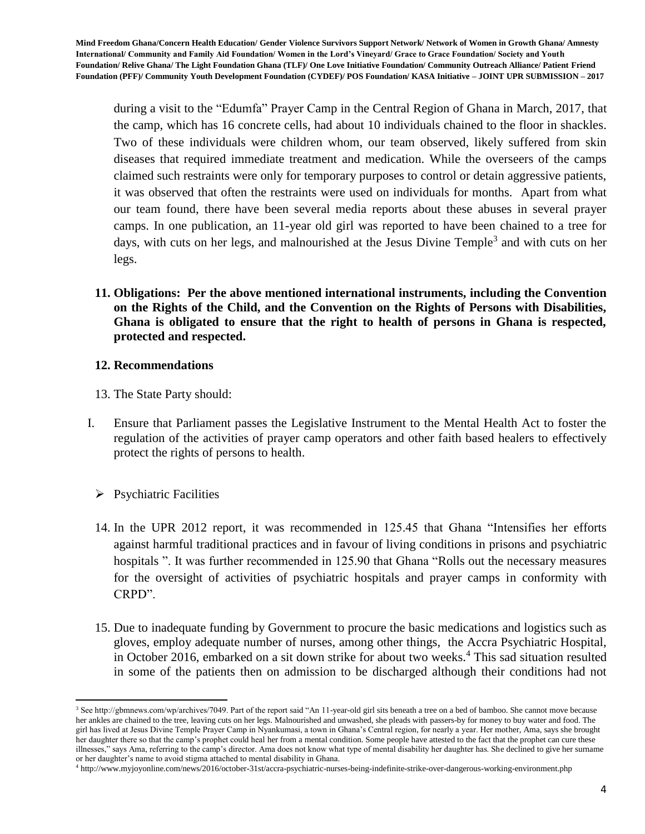during a visit to the "Edumfa" Prayer Camp in the Central Region of Ghana in March, 2017, that the camp, which has 16 concrete cells, had about 10 individuals chained to the floor in shackles. Two of these individuals were children whom, our team observed, likely suffered from skin diseases that required immediate treatment and medication. While the overseers of the camps claimed such restraints were only for temporary purposes to control or detain aggressive patients, it was observed that often the restraints were used on individuals for months. Apart from what our team found, there have been several media reports about these abuses in several prayer camps. In one publication, an 11-year old girl was reported to have been chained to a tree for days, with cuts on her legs, and malnourished at the Jesus Divine Temple<sup>3</sup> and with cuts on her legs.

**11. Obligations: Per the above mentioned international instruments, including the Convention on the Rights of the Child, and the Convention on the Rights of Persons with Disabilities, Ghana is obligated to ensure that the right to health of persons in Ghana is respected, protected and respected.**

## **12. Recommendations**

- 13. The State Party should:
- I. Ensure that Parliament passes the Legislative Instrument to the Mental Health Act to foster the regulation of the activities of prayer camp operators and other faith based healers to effectively protect the rights of persons to health.
	- $\triangleright$  Psychiatric Facilities

 $\overline{a}$ 

- 14. In the UPR 2012 report, it was recommended in 125.45 that Ghana "Intensifies her efforts against harmful traditional practices and in favour of living conditions in prisons and psychiatric hospitals ". It was further recommended in 125.90 that Ghana "Rolls out the necessary measures for the oversight of activities of psychiatric hospitals and prayer camps in conformity with CRPD".
- 15. Due to inadequate funding by Government to procure the basic medications and logistics such as gloves, employ adequate number of nurses, among other things, the Accra Psychiatric Hospital, in October 2016, embarked on a sit down strike for about two weeks.<sup>4</sup> This sad situation resulted in some of the patients then on admission to be discharged although their conditions had not

<sup>&</sup>lt;sup>3</sup> See http://gbmnews.com/wp/archives/7049. Part of the report said "An 11-year-old girl sits beneath a tree on a bed of bamboo. She cannot move because her ankles are chained to the tree, leaving cuts on her legs. Malnourished and unwashed, she pleads with passers-by for money to buy water and food. The girl has lived at Jesus Divine Temple Prayer Camp in Nyankumasi, a town in Ghana's Central region, for nearly a year. Her mother, Ama, says she brought her daughter there so that the camp's prophet could heal her from a mental condition. Some people have attested to the fact that the prophet can cure these illnesses," says Ama, referring to the camp's director. Ama does not know what type of mental disability her daughter has. She declined to give her surname or her daughter's name to avoid stigma attached to mental disability in Ghana.

<sup>4</sup> http://www.myjoyonline.com/news/2016/october-31st/accra-psychiatric-nurses-being-indefinite-strike-over-dangerous-working-environment.php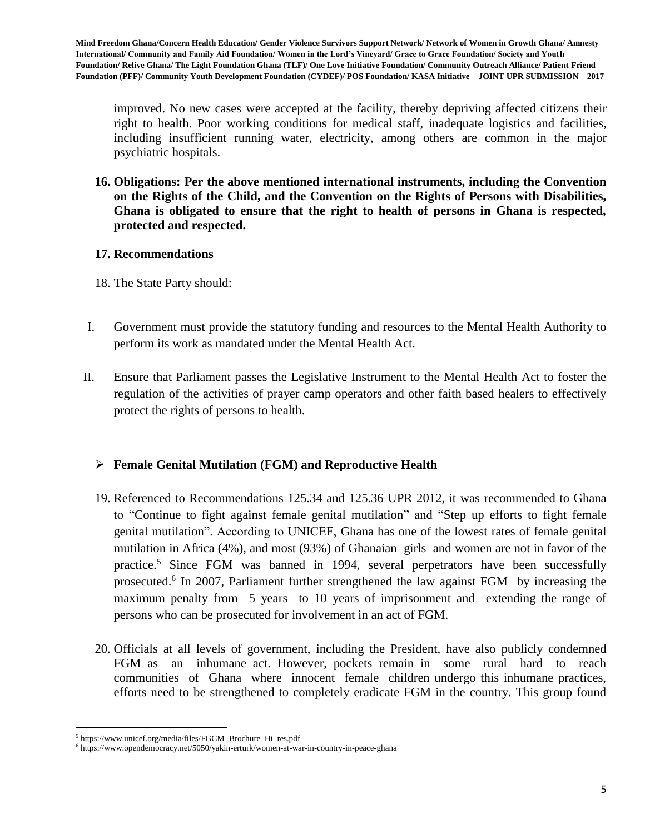improved. No new cases were accepted at the facility, thereby depriving affected citizens their right to health. Poor working conditions for medical staff, inadequate logistics and facilities, including insufficient running water, electricity, among others are common in the major psychiatric hospitals.

**16. Obligations: Per the above mentioned international instruments, including the Convention on the Rights of the Child, and the Convention on the Rights of Persons with Disabilities, Ghana is obligated to ensure that the right to health of persons in Ghana is respected, protected and respected.**

# **17. Recommendations**

- 18. The State Party should:
- I. Government must provide the statutory funding and resources to the Mental Health Authority to perform its work as mandated under the Mental Health Act.
- II. Ensure that Parliament passes the Legislative Instrument to the Mental Health Act to foster the regulation of the activities of prayer camp operators and other faith based healers to effectively protect the rights of persons to health.

# **Female Genital Mutilation (FGM) and Reproductive Health**

- 19. Referenced to Recommendations 125.34 and 125.36 UPR 2012, it was recommended to Ghana to "Continue to fight against female genital mutilation" and "Step up efforts to fight female genital mutilation". According to UNICEF, Ghana has one of the lowest rates of female genital mutilation in Africa (4%), and most (93%) of Ghanaian girls and women are not in favor of the practice.<sup>5</sup> Since FGM was banned in 1994, several perpetrators have been successfully prosecuted.<sup>6</sup> In 2007, Parliament further strengthened the law against FGM by increasing the maximum penalty from 5 years to 10 years of imprisonment and extending the range of persons who can be prosecuted for involvement in an act of FGM.
- 20. Officials at all levels of government, including the President, have also publicly condemned FGM as an inhumane act. However, pockets remain in some rural hard to reach communities of Ghana where innocent female children undergo this inhumane practices, efforts need to be strengthened to completely eradicate FGM in the country. This group found

 $\overline{\phantom{a}}$ 

<sup>5</sup> https://www.unicef.org/media/files/FGCM\_Brochure\_Hi\_res.pdf

<sup>6</sup> https://www.opendemocracy.net/5050/yakin-erturk/women-at-war-in-country-in-peace-ghana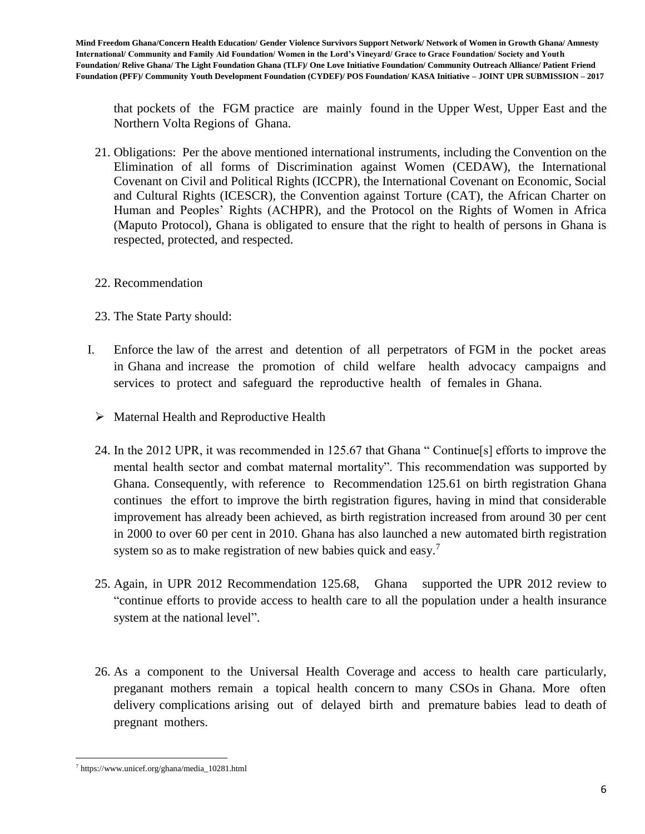that pockets of the FGM practice are mainly found in the Upper West, Upper East and the Northern Volta Regions of Ghana.

- 21. Obligations: Per the above mentioned international instruments, including the Convention on the Elimination of all forms of Discrimination against Women (CEDAW), the International Covenant on Civil and Political Rights (ICCPR), the International Covenant on Economic, Social and Cultural Rights (ICESCR), the Convention against Torture (CAT), the African Charter on Human and Peoples' Rights (ACHPR), and the Protocol on the Rights of Women in Africa (Maputo Protocol), Ghana is obligated to ensure that the right to health of persons in Ghana is respected, protected, and respected.
- 22. Recommendation
- 23. The State Party should:
- I. Enforce the law of the arrest and detention of all perpetrators of FGM in the pocket areas in Ghana and increase the promotion of child welfare health advocacy campaigns and services to protect and safeguard the reproductive health of females in Ghana.
	- $\triangleright$  Maternal Health and Reproductive Health
	- 24. In the 2012 UPR, it was recommended in 125.67 that Ghana " Continue[s] efforts to improve the mental health sector and combat maternal mortality". This recommendation was supported by Ghana. Consequently, with reference to Recommendation 125.61 on birth registration Ghana continues the effort to improve the birth registration figures, having in mind that considerable improvement has already been achieved, as birth registration increased from around 30 per cent in 2000 to over 60 per cent in 2010. Ghana has also launched a new automated birth registration system so as to make registration of new babies quick and easy.<sup>7</sup>
	- 25. Again, in UPR 2012 Recommendation 125.68, Ghana supported the UPR 2012 review to "continue efforts to provide access to health care to all the population under a health insurance system at the national level".
	- 26. As a component to the Universal Health Coverage and access to health care particularly, preganant mothers remain a topical health concern to many CSOs in Ghana. More often delivery complications arising out of delayed birth and premature babies lead to death of pregnant mothers.

l <sup>7</sup> https://www.unicef.org/ghana/media\_10281.html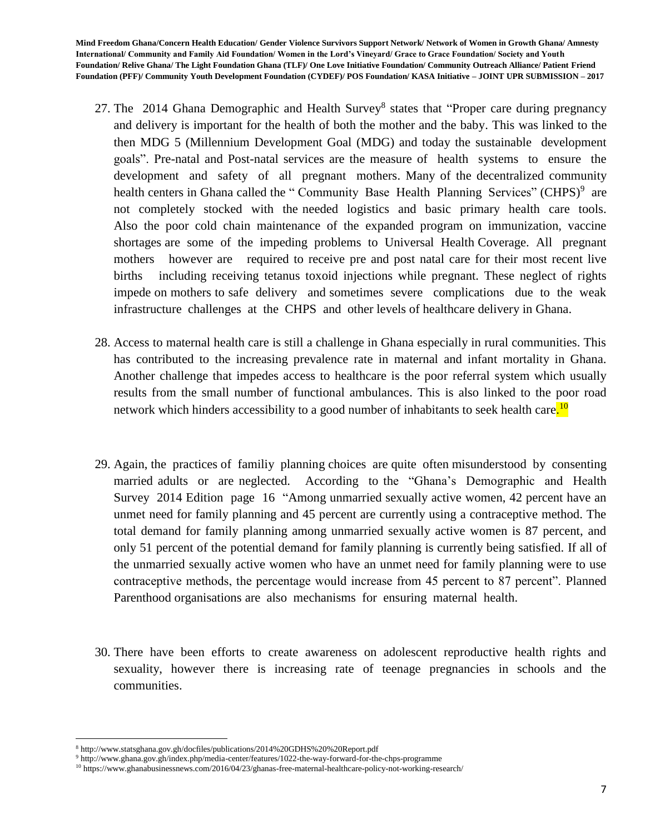- 27. The 2014 Ghana Demographic and Health Survey<sup>8</sup> states that "Proper care during pregnancy and delivery is important for the health of both the mother and the baby. This was linked to the then MDG 5 (Millennium Development Goal (MDG) and today the sustainable development goals". Pre-natal and Post-natal services are the measure of health systems to ensure the development and safety of all pregnant mothers. Many of the decentralized community health centers in Ghana called the "Community Base Health Planning Services" (CHPS)<sup>9</sup> are not completely stocked with the needed logistics and basic primary health care tools. Also the poor cold chain maintenance of the expanded program on immunization, vaccine shortages are some of the impeding problems to Universal Health Coverage. All pregnant mothers however are required to receive pre and post natal care for their most recent live births including receiving tetanus toxoid injections while pregnant. These neglect of rights impede on mothers to safe delivery and sometimes severe complications due to the weak infrastructure challenges at the CHPS and other levels of healthcare delivery in Ghana.
- 28. Access to maternal health care is still a challenge in Ghana especially in rural communities. This has contributed to the increasing prevalence rate in maternal and infant mortality in Ghana. Another challenge that impedes access to healthcare is the poor referral system which usually results from the small number of functional ambulances. This is also linked to the poor road network which hinders accessibility to a good number of inhabitants to seek health care.<sup>10</sup>
- 29. Again, the practices of familiy planning choices are quite often misunderstood by consenting married adults or are neglected. According to the "Ghana's Demographic and Health Survey 2014 Edition page 16 "Among unmarried sexually active women, 42 percent have an unmet need for family planning and 45 percent are currently using a contraceptive method. The total demand for family planning among unmarried sexually active women is 87 percent, and only 51 percent of the potential demand for family planning is currently being satisfied. If all of the unmarried sexually active women who have an unmet need for family planning were to use contraceptive methods, the percentage would increase from 45 percent to 87 percent". Planned Parenthood organisations are also mechanisms for ensuring maternal health.
- 30. There have been efforts to create awareness on adolescent reproductive health rights and sexuality, however there is increasing rate of teenage pregnancies in schools and the communities.

l <sup>8</sup> http://www.statsghana.gov.gh/docfiles/publications/2014%20GDHS%20%20Report.pdf

<sup>9</sup> http://www.ghana.gov.gh/index.php/media-center/features/1022-the-way-forward-for-the-chps-programme

<sup>10</sup> https://www.ghanabusinessnews.com/2016/04/23/ghanas-free-maternal-healthcare-policy-not-working-research/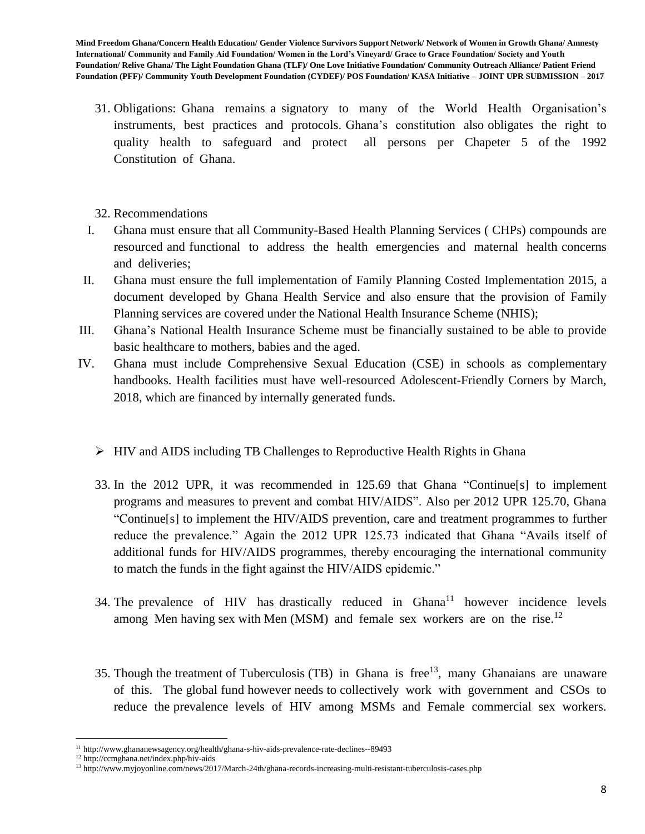- 31. Obligations: Ghana remains a signatory to many of the World Health Organisation's instruments, best practices and protocols. Ghana's constitution also obligates the right to quality health to safeguard and protect all persons per Chapeter 5 of the 1992 Constitution of Ghana.
- 32. Recommendations
- I. Ghana must ensure that all Community-Based Health Planning Services ( CHPs) compounds are resourced and functional to address the health emergencies and maternal health concerns and deliveries;
- II. Ghana must ensure the full implementation of Family Planning Costed Implementation 2015, a document developed by Ghana Health Service and also ensure that the provision of Family Planning services are covered under the National Health Insurance Scheme (NHIS);
- III. Ghana's National Health Insurance Scheme must be financially sustained to be able to provide basic healthcare to mothers, babies and the aged.
- IV. Ghana must include Comprehensive Sexual Education (CSE) in schools as complementary handbooks. Health facilities must have well-resourced Adolescent-Friendly Corners by March, 2018, which are financed by internally generated funds.
	- $\triangleright$  HIV and AIDS including TB Challenges to Reproductive Health Rights in Ghana
	- 33. In the 2012 UPR, it was recommended in 125.69 that Ghana "Continue[s] to implement programs and measures to prevent and combat HIV/AIDS". Also per 2012 UPR 125.70, Ghana "Continue[s] to implement the HIV/AIDS prevention, care and treatment programmes to further reduce the prevalence." Again the 2012 UPR 125.73 indicated that Ghana "Avails itself of additional funds for HIV/AIDS programmes, thereby encouraging the international community to match the funds in the fight against the HIV/AIDS epidemic."
	- 34. The prevalence of HIV has drastically reduced in Ghana<sup>11</sup> however incidence levels among Men having sex with Men (MSM) and female sex workers are on the rise.<sup>12</sup>
	- 35. Though the treatment of Tuberculosis (TB) in Ghana is free<sup>13</sup>, many Ghanaians are unaware of this. The global fund however needs to collectively work with government and CSOs to reduce the prevalence levels of HIV among MSMs and Female commercial sex workers.

l <sup>11</sup> http://www.ghananewsagency.org/health/ghana-s-hiv-aids-prevalence-rate-declines--89493

<sup>12</sup> http://ccmghana.net/index.php/hiv-aids

<sup>13</sup> http://www.myjoyonline.com/news/2017/March-24th/ghana-records-increasing-multi-resistant-tuberculosis-cases.php